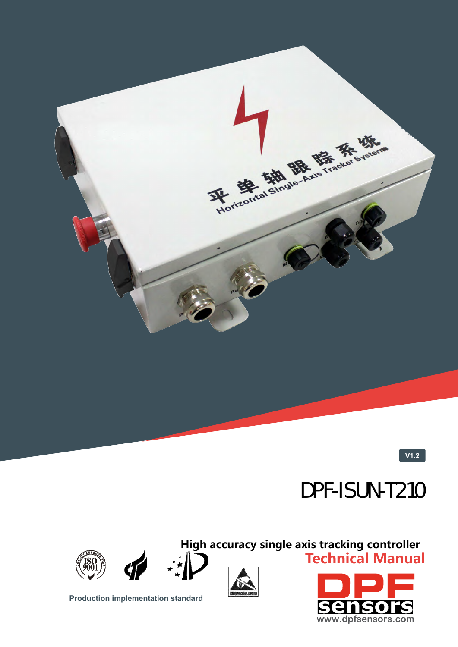

**V1.2**

# DPF-ISUN-T210

**High accuracy single axis tracking controller Technical Manual**







**Production implementation standard** 



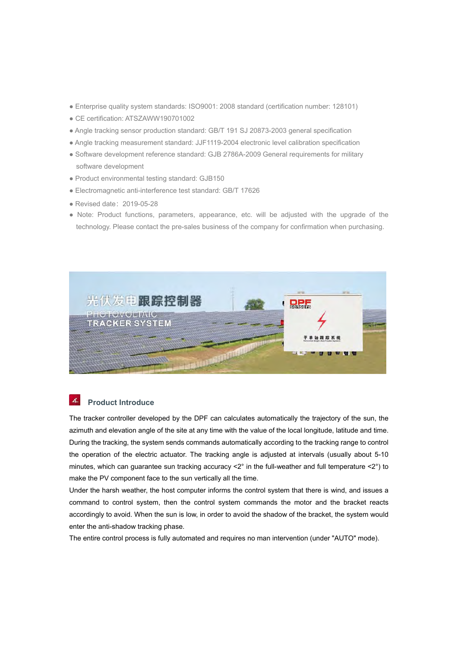- Enterprise quality system standards: ISO9001: 2008 standard (certification number: 128101)
- CE certification: ATSZAWW190701002
- Angle tracking sensor production standard: GB/T 191 SJ 20873-2003 general specification
- Angle tracking measurement standard: JJF1119-2004 electronic level calibration specification
- Software development reference standard: GJB 2786A-2009 General requirements for military software development
- Product environmental testing standard: GJB150
- Electromagnetic anti-interference test standard: GB/T 17626
- Revised date:2019-05-28
- Note: Product functions, parameters, appearance, etc. will be adjusted with the upgrade of the technology. Please contact the pre-sales business of the company for confirmation when purchasing.



#### $\boldsymbol{\Lambda}$ **Product Introduce**

The tracker controller developed by the DPF can calculates automatically the trajectory of the sun, the azimuth and elevation angle of the site at any time with the value of the local longitude, latitude and time. During the tracking, the system sends commands automatically according to the tracking range to control the operation of the electric actuator. The tracking angle is adjusted at intervals (usually about 5-10 minutes, which can guarantee sun tracking accuracy  $\langle 2^{\circ}$  in the full-weather and full temperature  $\langle 2^{\circ} \rangle$  to make the PV component face to the sun vertically all the time.

Under the harsh weather, the host computer informs the control system that there is wind, and issues a command to control system, then the control system commands the motor and the bracket reacts accordingly to avoid. When the sun is low, in order to avoid the shadow of the bracket, the system would enter the anti-shadow tracking phase.

The entire control process is fully automated and requires no man intervention (under "AUTO" mode).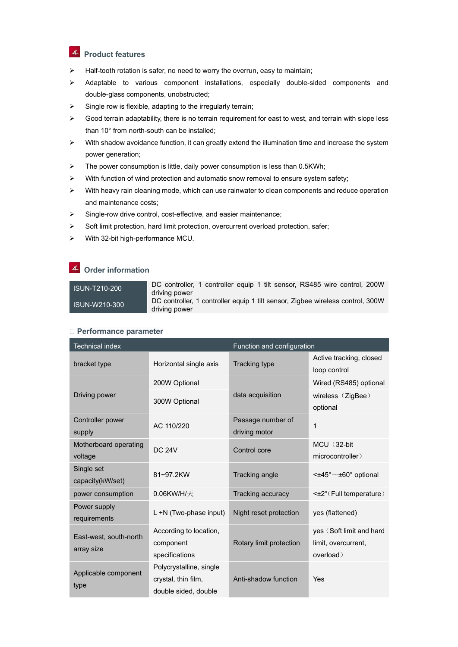## *A* Product features

- $\triangleright$  Half-tooth rotation is safer, no need to worry the overrun, easy to maintain;
- $\triangleright$  Adaptable to various component installations, especially double-sided components and double-glass components, unobstructed;
- $\triangleright$  Single row is flexible, adapting to the irregularly terrain;
- $\triangleright$  Good terrain adaptability, there is no terrain requirement for east to west, and terrain with slope less than 10° from north-south can be installed;
- $\triangleright$  With shadow avoidance function, it can greatly extend the illumination time and increase the system power generation;
- $\triangleright$  The power consumption is little, daily power consumption is less than 0.5KWh;
- $\triangleright$  With function of wind protection and automatic snow removal to ensure system safety;
- $\triangleright$  With heavy rain cleaning mode, which can use rainwater to clean components and reduce operation and maintenance costs;
- $\triangleright$  Single-row drive control, cost-effective, and easier maintenance;
- $\triangleright$  Soft limit protection, hard limit protection, overcurrent overload protection, safer;
- $\triangleright$  With 32-bit high-performance MCU.

#### **Order information**

ISUN-T210-200 DC controller, 1 controller equip 1 tilt sensor, RS485 wire control, 200W driving power ISUN-W210-300 DC controller, 1 controller equip 1 tilt sensor, Zigbee wireless control, 300W driving power

#### **▶ Performance parameter**

| <b>Technical index</b>               |                                                                        | Function and configuration         |                                                              |
|--------------------------------------|------------------------------------------------------------------------|------------------------------------|--------------------------------------------------------------|
| bracket type                         | Horizontal single axis                                                 | <b>Tracking type</b>               | Active tracking, closed<br>loop control                      |
| Driving power                        | 200W Optional                                                          | data acquisition                   | Wired (RS485) optional                                       |
|                                      | 300W Optional                                                          |                                    | wireless (ZigBee)<br>optional                                |
| Controller power<br>supply           | AC 110/220                                                             | Passage number of<br>driving motor | 1                                                            |
| Motherboard operating<br>voltage     | <b>DC 24V</b>                                                          | Control core                       | MCU (32-bit<br>microcontroller)                              |
| Single set<br>capacity(kW/set)       | 81~97.2KW                                                              | Tracking angle                     | $\leq$ ±45° $\sim$ ±60° optional                             |
| power consumption                    | $0.06$ KW/H/天                                                          | Tracking accuracy                  | $\leq$ +2° (Full temperature)                                |
| Power supply<br>requirements         | L +N (Two-phase input)                                                 | Night reset protection             | yes (flattened)                                              |
| East-west, south-north<br>array size | According to location,<br>component<br>specifications                  | Rotary limit protection            | yes (Soft limit and hard<br>limit, overcurrent,<br>overload) |
| Applicable component<br>type         | Polycrystalline, single<br>crystal, thin film,<br>double sided, double | Anti-shadow function               | Yes                                                          |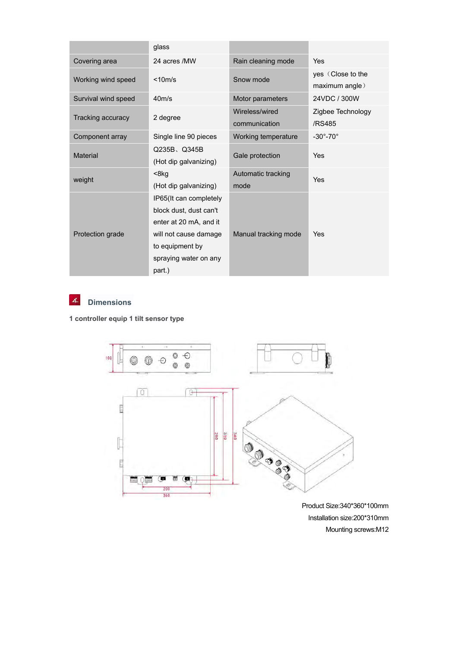|                         | glass                                                                                                                                                     |                                 |                                     |
|-------------------------|-----------------------------------------------------------------------------------------------------------------------------------------------------------|---------------------------------|-------------------------------------|
| Covering area           | 24 acres /MW                                                                                                                                              | Rain cleaning mode              | Yes                                 |
| Working wind speed      | $<$ 10m/s                                                                                                                                                 | Snow mode                       | yes (Close to the<br>maximum angle) |
| Survival wind speed     | $40m$ /s                                                                                                                                                  | Motor parameters                | 24VDC / 300W                        |
| Tracking accuracy       | 2 degree                                                                                                                                                  | Wireless/wired<br>communication | Zigbee Technology<br>/RS485         |
| Component array         | Single line 90 pieces                                                                                                                                     | Working temperature             | $-30^\circ - 70^\circ$              |
| Material                | Q235B、Q345B<br>(Hot dip galvanizing)                                                                                                                      | Gale protection                 | Yes                                 |
| weight                  | $8kg$<br>(Hot dip galvanizing)                                                                                                                            | Automatic tracking<br>mode      | Yes                                 |
| <b>Protection grade</b> | IP65(It can completely<br>block dust, dust can't<br>enter at 20 mA, and it<br>will not cause damage<br>to equipment by<br>spraying water on any<br>part.) | Manual tracking mode            | Yes                                 |



## **Dimensions**

### **1 controller equip 1 tilt sensor type**



Product Size:340\*360\*100mm Installation size:200\*310mm Mounting screws:M12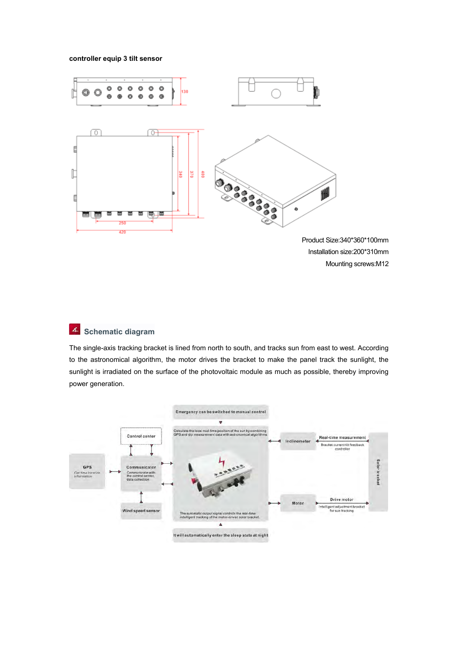#### **controller equip 3 tilt sensor**



Product Size:340\*360\*100mm Installation size:200\*310mm Mounting screws:M12

### **Schematic diagram**

The single-axis tracking bracket is lined from north to south, and tracks sun from east to west. According to the astronomical algorithm, the motor drives the bracket to make the panel track the sunlight, the sunlight is irradiated on the surface of the photovoltaic module as much as possible, thereby improving power generation.

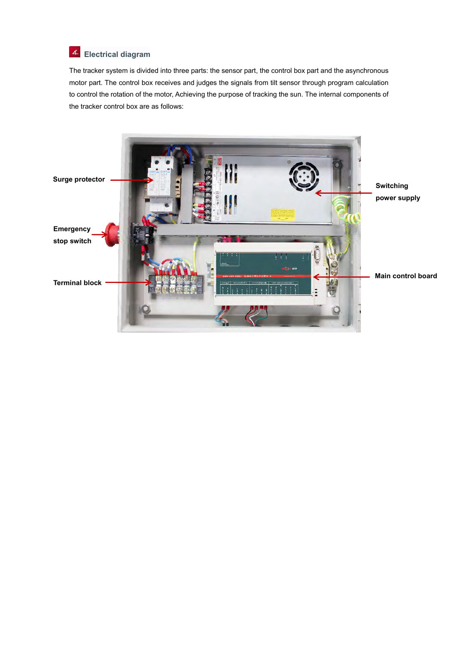## **Electrical diagram**

The tracker system is divided into three parts: the sensor part, the control box part and the asynchronous motor part. The control box receives and judges the signals from tilt sensor through program calculation to control the rotation of the motor, Achieving the purpose of tracking the sun. The internal components of the tracker control box are as follows:

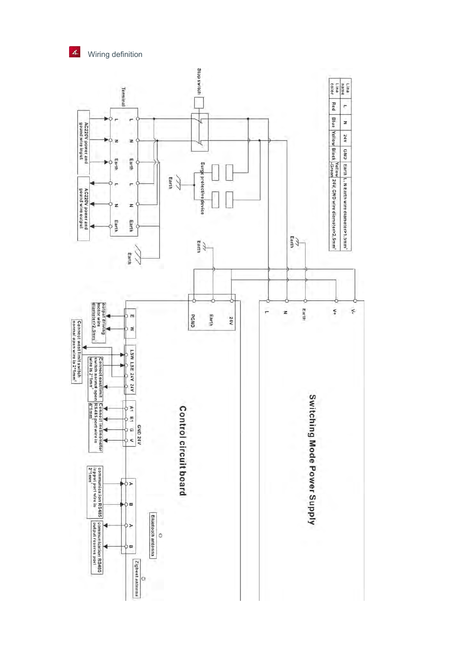Wiring definition

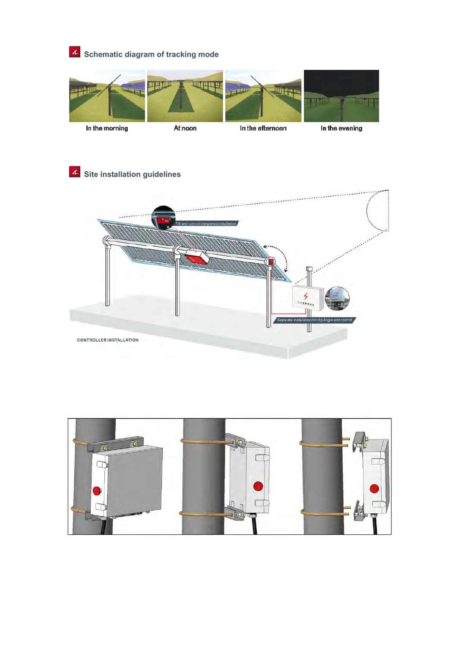# **Schematic diagram of tracking mode**





At noon

In the afternoon

In the evening